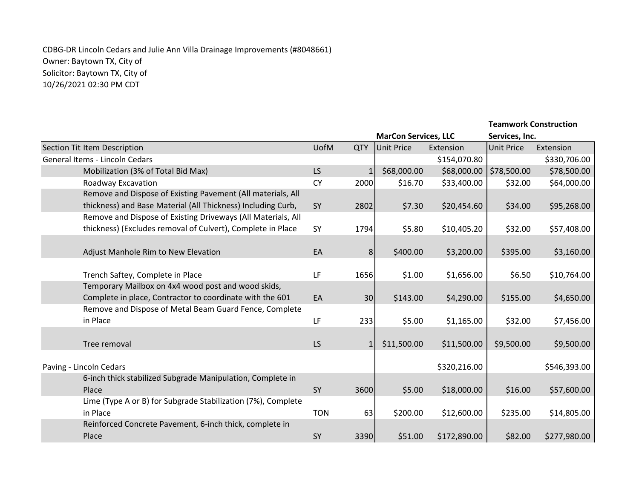## CDBG-DR Lincoln Cedars and Julie Ann Villa Drainage Improvements (#8048661) Owner: Baytown TX, City of Solicitor: Baytown TX, City of 10/26/2021 02:30 PM CDT

| <b>MarCon Services, LLC</b><br>Services, Inc.<br><b>UofM</b><br>Section Tit Item Description<br><b>QTY</b><br><b>Unit Price</b><br><b>Unit Price</b><br>Extension<br>Extension<br>General Items - Lincoln Cedars<br>\$154,070.80<br>\$330,706.00<br>LS<br>\$68,000.00<br>\$68,000.00<br>\$78,500.00<br>\$78,500.00<br>Mobilization (3% of Total Bid Max)<br>$\mathbf{1}$<br>Roadway Excavation<br><b>CY</b><br>2000<br>\$16.70<br>\$33,400.00<br>\$32.00<br>\$64,000.00<br>Remove and Dispose of Existing Pavement (All materials, All<br>thickness) and Base Material (All Thickness) Including Curb,<br>\$20,454.60<br>SY<br>\$7.30<br>\$34.00<br>\$95,268.00<br>2802<br>Remove and Dispose of Existing Driveways (All Materials, All<br>thickness) (Excludes removal of Culvert), Complete in Place<br>\$10,405.20<br>\$57,408.00<br>SY<br>1794<br>\$5.80<br>\$32.00<br>EA<br>\$400.00<br>\$3,200.00<br>\$395.00<br>Adjust Manhole Rim to New Elevation<br>8<br>\$3,160.00<br>LF<br>\$1.00<br>1656<br>\$1,656.00<br>\$6.50<br>\$10,764.00<br>Trench Saftey, Complete in Place<br>Temporary Mailbox on 4x4 wood post and wood skids,<br>Complete in place, Contractor to coordinate with the 601<br>EA<br>\$143.00<br>\$4,290.00<br>\$155.00<br>\$4,650.00<br>30 <sup>°</sup><br>Remove and Dispose of Metal Beam Guard Fence, Complete<br>in Place<br>\$5.00<br>\$32.00<br>LF<br>233<br>\$1,165.00<br>\$7,456.00 |
|---------------------------------------------------------------------------------------------------------------------------------------------------------------------------------------------------------------------------------------------------------------------------------------------------------------------------------------------------------------------------------------------------------------------------------------------------------------------------------------------------------------------------------------------------------------------------------------------------------------------------------------------------------------------------------------------------------------------------------------------------------------------------------------------------------------------------------------------------------------------------------------------------------------------------------------------------------------------------------------------------------------------------------------------------------------------------------------------------------------------------------------------------------------------------------------------------------------------------------------------------------------------------------------------------------------------------------------------------------------------------------------------------------------------|
|                                                                                                                                                                                                                                                                                                                                                                                                                                                                                                                                                                                                                                                                                                                                                                                                                                                                                                                                                                                                                                                                                                                                                                                                                                                                                                                                                                                                                     |
|                                                                                                                                                                                                                                                                                                                                                                                                                                                                                                                                                                                                                                                                                                                                                                                                                                                                                                                                                                                                                                                                                                                                                                                                                                                                                                                                                                                                                     |
|                                                                                                                                                                                                                                                                                                                                                                                                                                                                                                                                                                                                                                                                                                                                                                                                                                                                                                                                                                                                                                                                                                                                                                                                                                                                                                                                                                                                                     |
|                                                                                                                                                                                                                                                                                                                                                                                                                                                                                                                                                                                                                                                                                                                                                                                                                                                                                                                                                                                                                                                                                                                                                                                                                                                                                                                                                                                                                     |
|                                                                                                                                                                                                                                                                                                                                                                                                                                                                                                                                                                                                                                                                                                                                                                                                                                                                                                                                                                                                                                                                                                                                                                                                                                                                                                                                                                                                                     |
|                                                                                                                                                                                                                                                                                                                                                                                                                                                                                                                                                                                                                                                                                                                                                                                                                                                                                                                                                                                                                                                                                                                                                                                                                                                                                                                                                                                                                     |
|                                                                                                                                                                                                                                                                                                                                                                                                                                                                                                                                                                                                                                                                                                                                                                                                                                                                                                                                                                                                                                                                                                                                                                                                                                                                                                                                                                                                                     |
|                                                                                                                                                                                                                                                                                                                                                                                                                                                                                                                                                                                                                                                                                                                                                                                                                                                                                                                                                                                                                                                                                                                                                                                                                                                                                                                                                                                                                     |
|                                                                                                                                                                                                                                                                                                                                                                                                                                                                                                                                                                                                                                                                                                                                                                                                                                                                                                                                                                                                                                                                                                                                                                                                                                                                                                                                                                                                                     |
|                                                                                                                                                                                                                                                                                                                                                                                                                                                                                                                                                                                                                                                                                                                                                                                                                                                                                                                                                                                                                                                                                                                                                                                                                                                                                                                                                                                                                     |
|                                                                                                                                                                                                                                                                                                                                                                                                                                                                                                                                                                                                                                                                                                                                                                                                                                                                                                                                                                                                                                                                                                                                                                                                                                                                                                                                                                                                                     |
|                                                                                                                                                                                                                                                                                                                                                                                                                                                                                                                                                                                                                                                                                                                                                                                                                                                                                                                                                                                                                                                                                                                                                                                                                                                                                                                                                                                                                     |
|                                                                                                                                                                                                                                                                                                                                                                                                                                                                                                                                                                                                                                                                                                                                                                                                                                                                                                                                                                                                                                                                                                                                                                                                                                                                                                                                                                                                                     |
|                                                                                                                                                                                                                                                                                                                                                                                                                                                                                                                                                                                                                                                                                                                                                                                                                                                                                                                                                                                                                                                                                                                                                                                                                                                                                                                                                                                                                     |
|                                                                                                                                                                                                                                                                                                                                                                                                                                                                                                                                                                                                                                                                                                                                                                                                                                                                                                                                                                                                                                                                                                                                                                                                                                                                                                                                                                                                                     |
|                                                                                                                                                                                                                                                                                                                                                                                                                                                                                                                                                                                                                                                                                                                                                                                                                                                                                                                                                                                                                                                                                                                                                                                                                                                                                                                                                                                                                     |
|                                                                                                                                                                                                                                                                                                                                                                                                                                                                                                                                                                                                                                                                                                                                                                                                                                                                                                                                                                                                                                                                                                                                                                                                                                                                                                                                                                                                                     |
|                                                                                                                                                                                                                                                                                                                                                                                                                                                                                                                                                                                                                                                                                                                                                                                                                                                                                                                                                                                                                                                                                                                                                                                                                                                                                                                                                                                                                     |
| LS<br>\$11,500.00<br>\$11,500.00<br>\$9,500.00<br>\$9,500.00<br>Tree removal<br>$1\vert$                                                                                                                                                                                                                                                                                                                                                                                                                                                                                                                                                                                                                                                                                                                                                                                                                                                                                                                                                                                                                                                                                                                                                                                                                                                                                                                            |
|                                                                                                                                                                                                                                                                                                                                                                                                                                                                                                                                                                                                                                                                                                                                                                                                                                                                                                                                                                                                                                                                                                                                                                                                                                                                                                                                                                                                                     |
| \$320,216.00<br>Paving - Lincoln Cedars<br>\$546,393.00                                                                                                                                                                                                                                                                                                                                                                                                                                                                                                                                                                                                                                                                                                                                                                                                                                                                                                                                                                                                                                                                                                                                                                                                                                                                                                                                                             |
| 6-inch thick stabilized Subgrade Manipulation, Complete in                                                                                                                                                                                                                                                                                                                                                                                                                                                                                                                                                                                                                                                                                                                                                                                                                                                                                                                                                                                                                                                                                                                                                                                                                                                                                                                                                          |
| Place<br>SY<br>\$5.00<br>\$18,000.00<br>\$16.00<br>3600<br>\$57,600.00                                                                                                                                                                                                                                                                                                                                                                                                                                                                                                                                                                                                                                                                                                                                                                                                                                                                                                                                                                                                                                                                                                                                                                                                                                                                                                                                              |
| Lime (Type A or B) for Subgrade Stabilization (7%), Complete                                                                                                                                                                                                                                                                                                                                                                                                                                                                                                                                                                                                                                                                                                                                                                                                                                                                                                                                                                                                                                                                                                                                                                                                                                                                                                                                                        |
| in Place<br>\$200.00<br>\$235.00<br><b>TON</b><br>63<br>\$12,600.00<br>\$14,805.00                                                                                                                                                                                                                                                                                                                                                                                                                                                                                                                                                                                                                                                                                                                                                                                                                                                                                                                                                                                                                                                                                                                                                                                                                                                                                                                                  |
| Reinforced Concrete Pavement, 6-inch thick, complete in                                                                                                                                                                                                                                                                                                                                                                                                                                                                                                                                                                                                                                                                                                                                                                                                                                                                                                                                                                                                                                                                                                                                                                                                                                                                                                                                                             |
| SY<br>Place<br>\$51.00<br>\$172,890.00<br>\$82.00<br>3390<br>\$277,980.00                                                                                                                                                                                                                                                                                                                                                                                                                                                                                                                                                                                                                                                                                                                                                                                                                                                                                                                                                                                                                                                                                                                                                                                                                                                                                                                                           |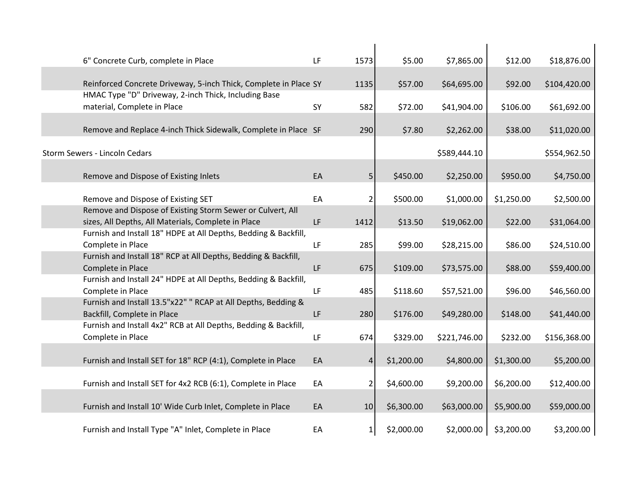| 6" Concrete Curb, complete in Place                                                  | LF | 1573            | \$5.00     | \$7,865.00   | \$12.00    | \$18,876.00  |
|--------------------------------------------------------------------------------------|----|-----------------|------------|--------------|------------|--------------|
|                                                                                      |    |                 |            |              |            |              |
| Reinforced Concrete Driveway, 5-inch Thick, Complete in Place SY                     |    | 1135            | \$57.00    | \$64,695.00  | \$92.00    | \$104,420.00 |
| HMAC Type "D" Driveway, 2-inch Thick, Including Base                                 |    |                 |            |              |            |              |
| material, Complete in Place                                                          | SY | 582             | \$72.00    | \$41,904.00  | \$106.00   | \$61,692.00  |
| Remove and Replace 4-inch Thick Sidewalk, Complete in Place SF                       |    |                 |            |              |            |              |
|                                                                                      |    | 290             | \$7.80     | \$2,262.00   | \$38.00    | \$11,020.00  |
| Storm Sewers - Lincoln Cedars                                                        |    |                 |            | \$589,444.10 |            | \$554,962.50 |
|                                                                                      |    |                 |            |              |            |              |
| Remove and Dispose of Existing Inlets                                                | EA | 5 <sub>l</sub>  | \$450.00   | \$2,250.00   | \$950.00   | \$4,750.00   |
|                                                                                      |    |                 |            |              |            |              |
| Remove and Dispose of Existing SET                                                   | EA | 2               | \$500.00   | \$1,000.00   | \$1,250.00 | \$2,500.00   |
| Remove and Dispose of Existing Storm Sewer or Culvert, All                           |    |                 |            |              |            |              |
| sizes, All Depths, All Materials, Complete in Place                                  | LF | 1412            | \$13.50    | \$19,062.00  | \$22.00    | \$31,064.00  |
| Furnish and Install 18" HDPE at All Depths, Bedding & Backfill,<br>Complete in Place | LF |                 |            |              |            |              |
| Furnish and Install 18" RCP at All Depths, Bedding & Backfill,                       |    | 285             | \$99.00    | \$28,215.00  | \$86.00    | \$24,510.00  |
| Complete in Place                                                                    | LF | 675             | \$109.00   | \$73,575.00  | \$88.00    | \$59,400.00  |
| Furnish and Install 24" HDPE at All Depths, Bedding & Backfill,                      |    |                 |            |              |            |              |
| Complete in Place                                                                    | LF | 485             | \$118.60   | \$57,521.00  | \$96.00    | \$46,560.00  |
| Furnish and Install 13.5"x22" " RCAP at All Depths, Bedding &                        |    |                 |            |              |            |              |
| Backfill, Complete in Place                                                          | LF | 280             | \$176.00   | \$49,280.00  | \$148.00   | \$41,440.00  |
| Furnish and Install 4x2" RCB at All Depths, Bedding & Backfill,                      |    |                 |            |              |            |              |
| Complete in Place                                                                    | LF | 674             | \$329.00   | \$221,746.00 | \$232.00   | \$156,368.00 |
|                                                                                      |    |                 |            |              |            |              |
| Furnish and Install SET for 18" RCP (4:1), Complete in Place                         | EA | $\vert 4 \vert$ | \$1,200.00 | \$4,800.00   | \$1,300.00 | \$5,200.00   |
| Furnish and Install SET for 4x2 RCB (6:1), Complete in Place                         | EA | $\overline{2}$  | \$4,600.00 | \$9,200.00   | \$6,200.00 |              |
|                                                                                      |    |                 |            |              |            | \$12,400.00  |
| Furnish and Install 10' Wide Curb Inlet, Complete in Place                           | EA | 10              | \$6,300.00 | \$63,000.00  | \$5,900.00 | \$59,000.00  |
|                                                                                      |    |                 |            |              |            |              |
| Furnish and Install Type "A" Inlet, Complete in Place                                | EA | $1\vert$        | \$2,000.00 | \$2,000.00   | \$3,200.00 | \$3,200.00   |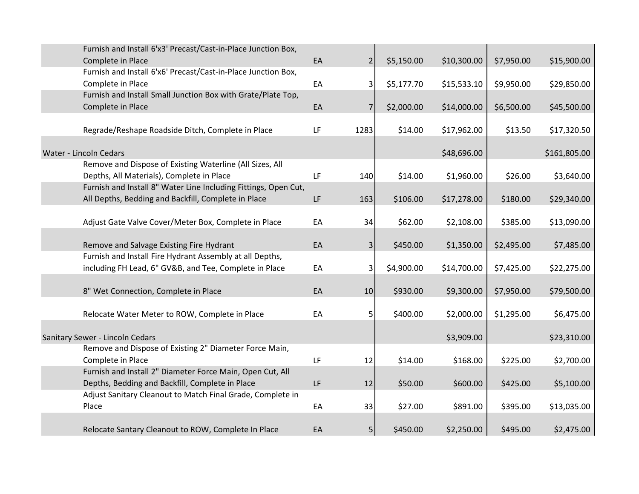| Furnish and Install 6'x3' Precast/Cast-in-Place Junction Box,   |    |                |            |             |            |              |
|-----------------------------------------------------------------|----|----------------|------------|-------------|------------|--------------|
| Complete in Place                                               | EA | 2 <sub>1</sub> | \$5,150.00 | \$10,300.00 | \$7,950.00 | \$15,900.00  |
| Furnish and Install 6'x6' Precast/Cast-in-Place Junction Box,   |    |                |            |             |            |              |
| Complete in Place                                               | EA | $\vert$        | \$5,177.70 | \$15,533.10 | \$9,950.00 | \$29,850.00  |
| Furnish and Install Small Junction Box with Grate/Plate Top,    |    |                |            |             |            |              |
| Complete in Place                                               | EA | $\overline{7}$ | \$2,000.00 | \$14,000.00 | \$6,500.00 | \$45,500.00  |
|                                                                 |    |                |            |             |            |              |
| Regrade/Reshape Roadside Ditch, Complete in Place               | LF | 1283           | \$14.00    | \$17,962.00 | \$13.50    | \$17,320.50  |
|                                                                 |    |                |            |             |            |              |
| Water - Lincoln Cedars                                          |    |                |            | \$48,696.00 |            | \$161,805.00 |
| Remove and Dispose of Existing Waterline (All Sizes, All        |    |                |            |             |            |              |
| Depths, All Materials), Complete in Place                       | LF | 140            | \$14.00    | \$1,960.00  | \$26.00    | \$3,640.00   |
| Furnish and Install 8" Water Line Including Fittings, Open Cut, |    |                |            |             |            |              |
| All Depths, Bedding and Backfill, Complete in Place             | LF | 163            | \$106.00   | \$17,278.00 | \$180.00   | \$29,340.00  |
|                                                                 |    |                |            |             |            |              |
| Adjust Gate Valve Cover/Meter Box, Complete in Place            | EA | 34             | \$62.00    | \$2,108.00  | \$385.00   | \$13,090.00  |
|                                                                 |    |                |            |             |            |              |
| Remove and Salvage Existing Fire Hydrant                        | EA | 3 <sup>1</sup> | \$450.00   | \$1,350.00  | \$2,495.00 | \$7,485.00   |
| Furnish and Install Fire Hydrant Assembly at all Depths,        |    |                |            |             |            |              |
| including FH Lead, 6" GV&B, and Tee, Complete in Place          | EA | $\overline{3}$ | \$4,900.00 | \$14,700.00 | \$7,425.00 | \$22,275.00  |
|                                                                 |    |                |            |             |            |              |
| 8" Wet Connection, Complete in Place                            | EA | 10             | \$930.00   | \$9,300.00  | \$7,950.00 | \$79,500.00  |
|                                                                 |    |                |            |             |            |              |
| Relocate Water Meter to ROW, Complete in Place                  | EA | 5              | \$400.00   | \$2,000.00  | \$1,295.00 | \$6,475.00   |
|                                                                 |    |                |            |             |            |              |
| Sanitary Sewer - Lincoln Cedars                                 |    |                |            | \$3,909.00  |            | \$23,310.00  |
| Remove and Dispose of Existing 2" Diameter Force Main,          |    |                |            |             |            |              |
| Complete in Place                                               | LF | 12             | \$14.00    | \$168.00    | \$225.00   | \$2,700.00   |
| Furnish and Install 2" Diameter Force Main, Open Cut, All       |    |                |            |             |            |              |
| Depths, Bedding and Backfill, Complete in Place                 | LF | 12             | \$50.00    | \$600.00    | \$425.00   | \$5,100.00   |
| Adjust Sanitary Cleanout to Match Final Grade, Complete in      |    |                |            |             |            |              |
| Place                                                           | EA | 33             | \$27.00    | \$891.00    | \$395.00   | \$13,035.00  |
|                                                                 |    |                |            |             |            |              |
| Relocate Santary Cleanout to ROW, Complete In Place             | EA | 5              | \$450.00   | \$2,250.00  | \$495.00   | \$2,475.00   |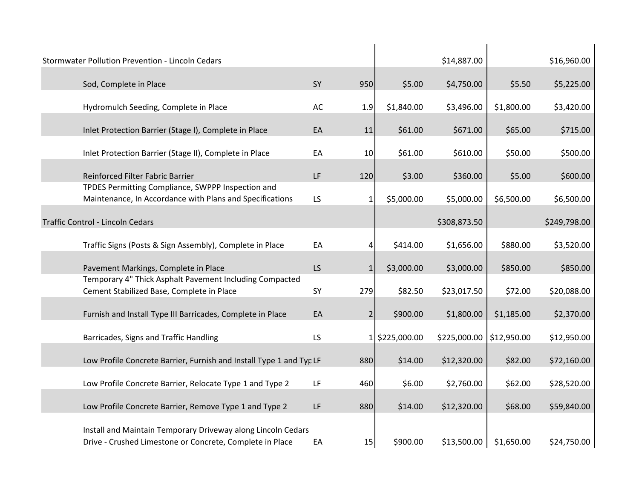| Stormwater Pollution Prevention - Lincoln Cedars                                                                         |    |                |                | \$14,887.00  |             | \$16,960.00  |
|--------------------------------------------------------------------------------------------------------------------------|----|----------------|----------------|--------------|-------------|--------------|
| Sod, Complete in Place                                                                                                   | SY | 950            | \$5.00         | \$4,750.00   | \$5.50      | \$5,225.00   |
| Hydromulch Seeding, Complete in Place                                                                                    | AC | 1.9            | \$1,840.00     | \$3,496.00   | \$1,800.00  | \$3,420.00   |
| Inlet Protection Barrier (Stage I), Complete in Place                                                                    | EA | 11             | \$61.00        | \$671.00     | \$65.00     | \$715.00     |
| Inlet Protection Barrier (Stage II), Complete in Place                                                                   | EA | 10             | \$61.00        | \$610.00     | \$50.00     | \$500.00     |
| Reinforced Filter Fabric Barrier                                                                                         | LF | 120            | \$3.00         | \$360.00     | \$5.00      | \$600.00     |
| TPDES Permitting Compliance, SWPPP Inspection and<br>Maintenance, In Accordance with Plans and Specifications            | LS | 1              | \$5,000.00     | \$5,000.00   | \$6,500.00  | \$6,500.00   |
| Traffic Control - Lincoln Cedars                                                                                         |    |                |                | \$308,873.50 |             | \$249,798.00 |
| Traffic Signs (Posts & Sign Assembly), Complete in Place                                                                 | EA | 4              | \$414.00       | \$1,656.00   | \$880.00    | \$3,520.00   |
| Pavement Markings, Complete in Place                                                                                     | LS | $\mathbf{1}$   | \$3,000.00     | \$3,000.00   | \$850.00    | \$850.00     |
| Temporary 4" Thick Asphalt Pavement Including Compacted<br>Cement Stabilized Base, Complete in Place                     | SY | 279            | \$82.50        | \$23,017.50  | \$72.00     | \$20,088.00  |
| Furnish and Install Type III Barricades, Complete in Place                                                               | EA | $\overline{2}$ | \$900.00       | \$1,800.00   | \$1,185.00  | \$2,370.00   |
| Barricades, Signs and Traffic Handling                                                                                   | LS |                | 1 \$225,000.00 | \$225,000.00 | \$12,950.00 | \$12,950.00  |
| Low Profile Concrete Barrier, Furnish and Install Type 1 and Typ LF                                                      |    | 880            | \$14.00        | \$12,320.00  | \$82.00     | \$72,160.00  |
|                                                                                                                          |    |                |                |              |             |              |
| Low Profile Concrete Barrier, Relocate Type 1 and Type 2                                                                 | LF | 460            | \$6.00         | \$2,760.00   | \$62.00     | \$28,520.00  |
| Low Profile Concrete Barrier, Remove Type 1 and Type 2                                                                   | LF | 880            | \$14.00        | \$12,320.00  | \$68.00     | \$59,840.00  |
| Install and Maintain Temporary Driveway along Lincoln Cedars<br>Drive - Crushed Limestone or Concrete, Complete in Place | EA | 15             | \$900.00       | \$13,500.00  | \$1,650.00  | \$24,750.00  |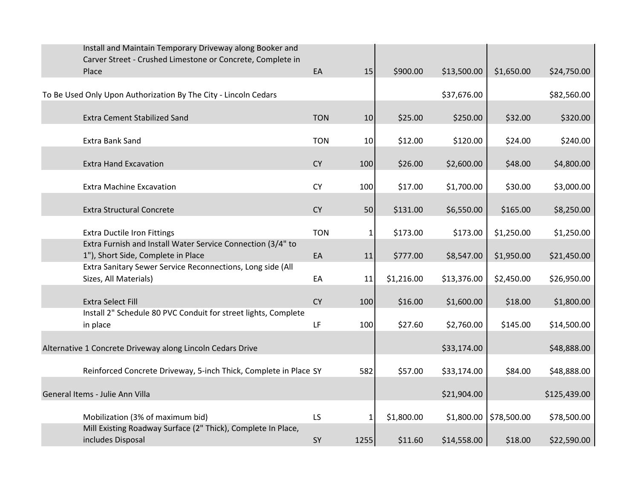| Install and Maintain Temporary Driveway along Booker and                                          |            |              |            |             |             |              |
|---------------------------------------------------------------------------------------------------|------------|--------------|------------|-------------|-------------|--------------|
| Carver Street - Crushed Limestone or Concrete, Complete in<br>Place                               | EA         | 15           | \$900.00   | \$13,500.00 | \$1,650.00  | \$24,750.00  |
|                                                                                                   |            |              |            |             |             |              |
| To Be Used Only Upon Authorization By The City - Lincoln Cedars                                   |            |              |            | \$37,676.00 |             | \$82,560.00  |
| <b>Extra Cement Stabilized Sand</b>                                                               | <b>TON</b> | 10           | \$25.00    | \$250.00    | \$32.00     | \$320.00     |
| <b>Extra Bank Sand</b>                                                                            | <b>TON</b> | 10           | \$12.00    | \$120.00    | \$24.00     | \$240.00     |
| <b>Extra Hand Excavation</b>                                                                      | <b>CY</b>  | 100          | \$26.00    | \$2,600.00  | \$48.00     | \$4,800.00   |
| <b>Extra Machine Excavation</b>                                                                   | <b>CY</b>  | 100          | \$17.00    | \$1,700.00  | \$30.00     | \$3,000.00   |
| <b>Extra Structural Concrete</b>                                                                  | <b>CY</b>  | 50           | \$131.00   | \$6,550.00  | \$165.00    | \$8,250.00   |
| <b>Extra Ductile Iron Fittings</b>                                                                | <b>TON</b> | $\mathbf{1}$ | \$173.00   | \$173.00    | \$1,250.00  | \$1,250.00   |
| Extra Furnish and Install Water Service Connection (3/4" to<br>1"), Short Side, Complete in Place | EA         | 11           | \$777.00   | \$8,547.00  | \$1,950.00  | \$21,450.00  |
| Extra Sanitary Sewer Service Reconnections, Long side (All<br>Sizes, All Materials)               | EA         | 11           | \$1,216.00 | \$13,376.00 | \$2,450.00  | \$26,950.00  |
|                                                                                                   |            |              |            |             |             |              |
| <b>Extra Select Fill</b><br>Install 2" Schedule 80 PVC Conduit for street lights, Complete        | <b>CY</b>  | 100          | \$16.00    | \$1,600.00  | \$18.00     | \$1,800.00   |
| in place                                                                                          | LF         | 100          | \$27.60    | \$2,760.00  | \$145.00    | \$14,500.00  |
| Alternative 1 Concrete Driveway along Lincoln Cedars Drive                                        |            |              |            | \$33,174.00 |             | \$48,888.00  |
| Reinforced Concrete Driveway, 5-inch Thick, Complete in Place SY                                  |            | 582          | \$57.00    | \$33,174.00 | \$84.00     | \$48,888.00  |
| General Items - Julie Ann Villa                                                                   |            |              |            | \$21,904.00 |             | \$125,439.00 |
| Mobilization (3% of maximum bid)                                                                  | LS.        | $\mathbf{1}$ | \$1,800.00 | \$1,800.00  | \$78,500.00 | \$78,500.00  |
| Mill Existing Roadway Surface (2" Thick), Complete In Place,<br>includes Disposal                 | SY         | 1255         | \$11.60    | \$14,558.00 | \$18.00     | \$22,590.00  |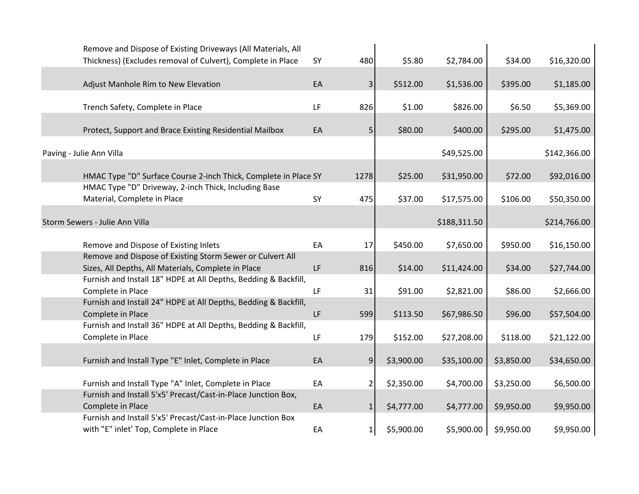|                          | Remove and Dispose of Existing Driveways (All Materials, All<br>Thickness) (Excludes removal of Culvert), Complete in Place | SY  | 480            | \$5.80     | \$2,784.00   | \$34.00    | \$16,320.00  |
|--------------------------|-----------------------------------------------------------------------------------------------------------------------------|-----|----------------|------------|--------------|------------|--------------|
|                          | Adjust Manhole Rim to New Elevation                                                                                         | EA  | 3              | \$512.00   | \$1,536.00   | \$395.00   | \$1,185.00   |
|                          | Trench Safety, Complete in Place                                                                                            | LF  | 826            | \$1.00     | \$826.00     | \$6.50     | \$5,369.00   |
|                          | Protect, Support and Brace Existing Residential Mailbox                                                                     | EA  | 5              | \$80.00    | \$400.00     | \$295.00   | \$1,475.00   |
| Paving - Julie Ann Villa |                                                                                                                             |     |                |            | \$49,525.00  |            | \$142,366.00 |
|                          | HMAC Type "D" Surface Course 2-inch Thick, Complete in Place SY                                                             |     | 1278           | \$25.00    | \$31,950.00  | \$72.00    | \$92,016.00  |
|                          | HMAC Type "D" Driveway, 2-inch Thick, Including Base<br>Material, Complete in Place                                         | SY  | 475            | \$37.00    | \$17,575.00  | \$106.00   | \$50,350.00  |
|                          | Storm Sewers - Julie Ann Villa                                                                                              |     |                |            | \$188,311.50 |            | \$214,766.00 |
|                          | Remove and Dispose of Existing Inlets                                                                                       | EA  | 17             | \$450.00   | \$7,650.00   | \$950.00   | \$16,150.00  |
|                          | Remove and Dispose of Existing Storm Sewer or Culvert All<br>Sizes, All Depths, All Materials, Complete in Place            | LF  | 816            | \$14.00    | \$11,424.00  | \$34.00    | \$27,744.00  |
|                          | Furnish and Install 18" HDPE at All Depths, Bedding & Backfill,<br>Complete in Place                                        | LF  | 31             | \$91.00    | \$2,821.00   | \$86.00    | \$2,666.00   |
|                          | Furnish and Install 24" HDPE at All Depths, Bedding & Backfill,<br>Complete in Place                                        | LF. | 599            | \$113.50   | \$67,986.50  | \$96.00    | \$57,504.00  |
|                          | Furnish and Install 36" HDPE at All Depths, Bedding & Backfill,<br>Complete in Place                                        | LF  | 179            | \$152.00   | \$27,208.00  | \$118.00   | \$21,122.00  |
|                          | Furnish and Install Type "E" Inlet, Complete in Place                                                                       | EA  | $\overline{9}$ | \$3,900.00 | \$35,100.00  | \$3,850.00 | \$34,650.00  |
|                          | Furnish and Install Type "A" Inlet, Complete in Place                                                                       | EA  | $\overline{2}$ | \$2,350.00 | \$4,700.00   | \$3,250.00 | \$6,500.00   |
|                          | Furnish and Install 5'x5' Precast/Cast-in-Place Junction Box,<br>Complete in Place                                          | EA  | $1\vert$       | \$4,777.00 | \$4,777.00   | \$9,950.00 | \$9,950.00   |
|                          | Furnish and Install 5'x5' Precast/Cast-in-Place Junction Box<br>with "E" inlet' Top, Complete in Place                      | EA  | $1\vert$       | \$5,900.00 | \$5,900.00   | \$9,950.00 | \$9,950.00   |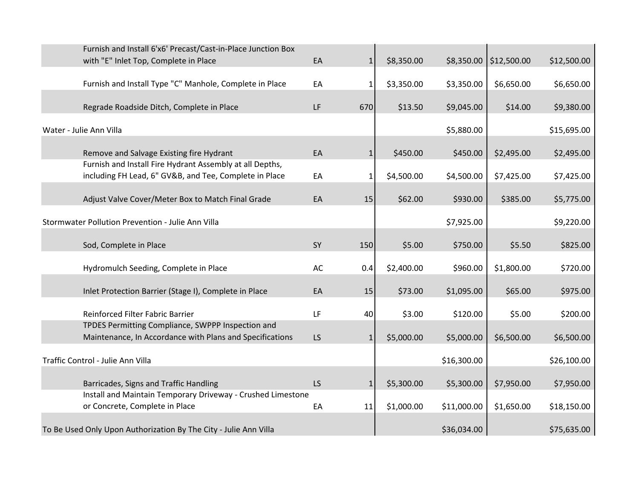|                                   | Furnish and Install 6'x6' Precast/Cast-in-Place Junction Box     |     |              |            |             |                        |             |
|-----------------------------------|------------------------------------------------------------------|-----|--------------|------------|-------------|------------------------|-------------|
|                                   | with "E" Inlet Top, Complete in Place                            | EA  | $1\vert$     | \$8,350.00 |             | \$8,350.00 \$12,500.00 | \$12,500.00 |
|                                   |                                                                  |     |              |            |             |                        |             |
|                                   | Furnish and Install Type "C" Manhole, Complete in Place          | EA  | $\mathbf{1}$ | \$3,350.00 | \$3,350.00  | \$6,650.00             | \$6,650.00  |
|                                   |                                                                  |     |              |            |             |                        |             |
|                                   | Regrade Roadside Ditch, Complete in Place                        | LF  | 670          | \$13.50    | \$9,045.00  | \$14.00                | \$9,380.00  |
| Water - Julie Ann Villa           |                                                                  |     |              |            | \$5,880.00  |                        | \$15,695.00 |
|                                   |                                                                  |     |              |            |             |                        |             |
|                                   | Remove and Salvage Existing fire Hydrant                         | EA  | $\mathbf{1}$ | \$450.00   | \$450.00    | \$2,495.00             | \$2,495.00  |
|                                   | Furnish and Install Fire Hydrant Assembly at all Depths,         |     |              |            |             |                        |             |
|                                   | including FH Lead, 6" GV&B, and Tee, Complete in Place           | EA  | 1            | \$4,500.00 | \$4,500.00  | \$7,425.00             | \$7,425.00  |
|                                   | Adjust Valve Cover/Meter Box to Match Final Grade                | EA  | 15           | \$62.00    | \$930.00    | \$385.00               | \$5,775.00  |
|                                   |                                                                  |     |              |            |             |                        |             |
|                                   | Stormwater Pollution Prevention - Julie Ann Villa                |     |              |            | \$7,925.00  |                        | \$9,220.00  |
|                                   |                                                                  |     |              |            |             |                        |             |
| Sod, Complete in Place            |                                                                  | SY  | 150          | \$5.00     | \$750.00    | \$5.50                 | \$825.00    |
|                                   | Hydromulch Seeding, Complete in Place                            | AC  | 0.4          | \$2,400.00 | \$960.00    | \$1,800.00             | \$720.00    |
|                                   |                                                                  |     |              |            |             |                        |             |
|                                   | Inlet Protection Barrier (Stage I), Complete in Place            | EA  | 15           | \$73.00    | \$1,095.00  | \$65.00                | \$975.00    |
|                                   | Reinforced Filter Fabric Barrier                                 | LF  |              | \$3.00     |             | \$5.00                 | \$200.00    |
|                                   | TPDES Permitting Compliance, SWPPP Inspection and                |     | 40           |            | \$120.00    |                        |             |
|                                   | Maintenance, In Accordance with Plans and Specifications         | LS. | $\mathbf{1}$ | \$5,000.00 | \$5,000.00  | \$6,500.00             | \$6,500.00  |
|                                   |                                                                  |     |              |            |             |                        |             |
| Traffic Control - Julie Ann Villa |                                                                  |     |              |            | \$16,300.00 |                        | \$26,100.00 |
|                                   |                                                                  |     |              |            |             |                        |             |
|                                   | Barricades, Signs and Traffic Handling                           | LS  | $\mathbf{1}$ | \$5,300.00 | \$5,300.00  | \$7,950.00             | \$7,950.00  |
|                                   | Install and Maintain Temporary Driveway - Crushed Limestone      |     |              |            |             |                        |             |
|                                   | or Concrete, Complete in Place                                   | EA  | 11           | \$1,000.00 | \$11,000.00 | \$1,650.00             | \$18,150.00 |
|                                   | To Be Used Only Upon Authorization By The City - Julie Ann Villa |     |              |            | \$36,034.00 |                        | \$75,635.00 |